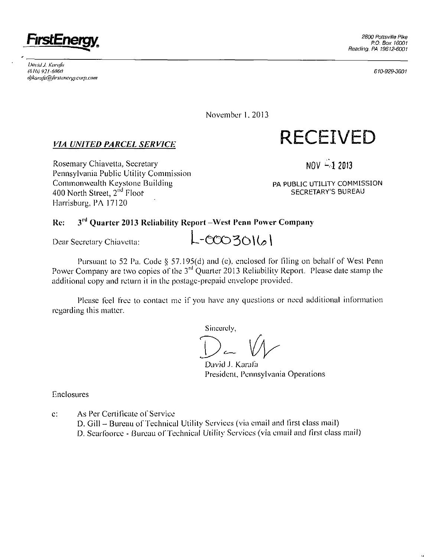

*iMvid J. Kuriifu (6lt» 921-6060 tijka nij'a fiifirslv nerg) •corp. com* 

610-929-360I

November 1, 2013

## *VIA UNITED PARCEL SERVICE*

Rosemary Chiavetta, Secretary Pennsylvania Public Utility Commission Commonwealth Keystone Building 400 North Street, 2<sup>nd</sup> Floof Harrisburg, PA 17120

 $NOV - 12013$ 

**RECEIVED** 

PA PUBLIC UTILITY COMMISSION SECRETARY'S BUREAU

#### **Re: 3<sup>l</sup> <sup>d</sup> Quarter 2013 Reliability Report -West Penn Power Company**

Dear Secretary Chiavclta:

Pursuant to 52 Pa. Code § 57.195(d) and (e), enclosed for filing on behalf of West Penn Power Company are two copies of the 3<sup>rd</sup> Quarter 2013 Reliability Report. Please date stamp the additional copy and return il in the postage-prepaid envelope provided.

 $-0003016$ 

Please feel free to contact me if you have any questions or need additional information regarding this matter.

Sincerely,

David J. Karafa Presidcni, Pennsylvania Operations

Enclosures

c: As Per Cerlificate of Service D. Gill - Bureau of Technical Utility Services (via email and first class mail) D. Searfoorce - Bureau of Technical Utility Services (via email and first class mail)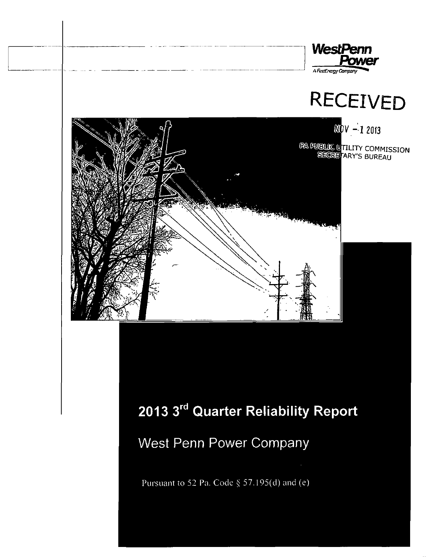



**V-12013**  LITY COMMISSION ARY'S BUREAU

# **2013 3<sup>r</sup> <sup>d</sup> Quarter Reliability Report**

West Penn Power Company

Pursuant to 52 Pa. Code § 57.195(d) and (e)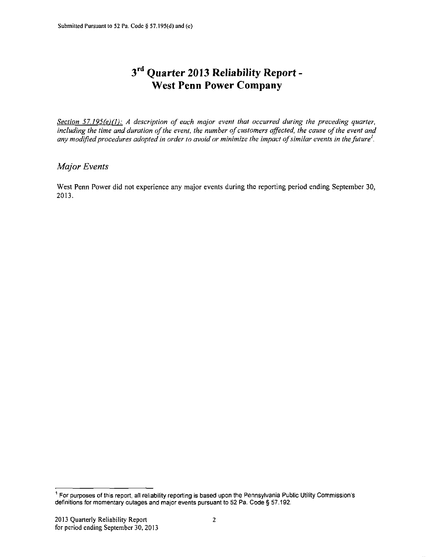## **3 r d Quarter 2013 Reliability Report - West Penn Power Company**

*Section 57.195(e)(1): A description of each major event that occurred during the preceding quarter, including the time and duration of the event, the number of customers affected, the cause of the event and any modified procedures adopted in order to avoid or minimize the impact of similar events in the future'.* 

### *Major Events*

West Penn Power did not experience any major events during the reporting period ending September 30, 2013.

 $^{\circ}$  For purposes of this report, all reliability reporting is based upon the Pennsylvania Public Utility Commission's definitions for momentary outages and major events pursuant to 52 Pa. Code § 57.192.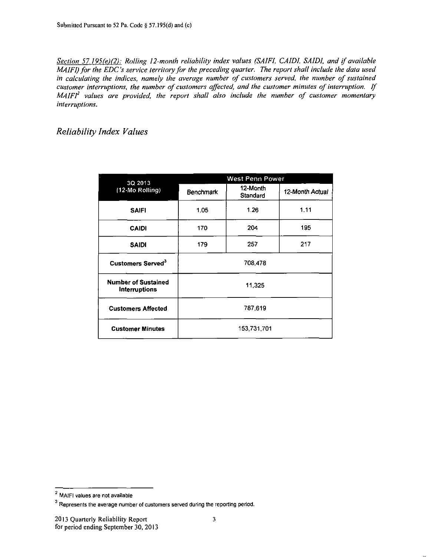*Section 57.195(e)(2): Rolling 12-month reliability index values (SAIFI, CAIDI. SAIDI. and if available MAIFI) for the EDO's service territory for the preceding quarter. The report shall include the data used in calculating the indices, namely the average number of customers served, the number of sustained customer interruptions, the number of customers affected, and the customer minutes of interruption. If MAIFI<sup>2</sup> values are provided, the report shall also include the number of customer momentary interruptions.* 

*Reliability Index Values* 

| 3Q 2013                                            |                  | <b>West Penn Power</b> |                 |  |  |  |
|----------------------------------------------------|------------------|------------------------|-----------------|--|--|--|
| (12-Mo Rolling)                                    | <b>Benchmark</b> | 12-Month<br>Standard   | 12-Month Actual |  |  |  |
| <b>SAIFI</b>                                       | 1.05             | 1.26                   | 1.11            |  |  |  |
| <b>CAIDI</b>                                       | 170              | 204                    | 195             |  |  |  |
| <b>SAIDI</b>                                       | 179              | 257                    | 217             |  |  |  |
| Customers Served <sup>3</sup>                      |                  | 708,478                |                 |  |  |  |
| <b>Number of Sustained</b><br><b>Interruptions</b> |                  | 11,325                 |                 |  |  |  |
| <b>Customers Affected</b>                          | 787,619          |                        |                 |  |  |  |
| <b>Customer Minutes</b>                            | 153,731,701      |                        |                 |  |  |  |

MAIFI values are not available

 $3$  Represents the average number of customers served during the reporting period.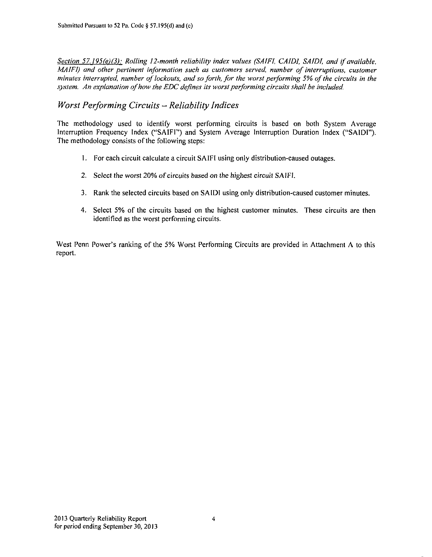*Section 57,195(e)(3): Rolling 12-month reliability index values (SAIFI, CAIDI, SAIDI, and if available, MAIFI)* and other pertinent information such as customers served, number of interruptions, customer *minutes interrupted, number of lockouts, and so forth, for the worst performing 5% of the circuits in the*  system. An explanation of how the EDC defines its worst performing circuits shall be included.

## *Worst Performing Circuits - Reliability Indices*

The methodology used to identify worst performing circuits is based on both System Average Interruption Frequency Index ("SAIFI") and System Average Interruption Duration Index ("SAIDI"). The methodology consists of the following steps:

- 1. For each circuit calculate a circuit SAIFI using only distribution-caused outages.
- 2. Select the worst 20% of circuits based on the highest circuit SAIFI.
- 3. Rank the selected circuits based on SAIDI using only distribution-caused customer minutes.
- 4. Select 5% of the circuits based on the highest customer minutes. These circuits are then identified as the worst performing circuits.

West Penn Power's ranking of the 5% Worst Performing Circuits are provided in Attachment A to this report.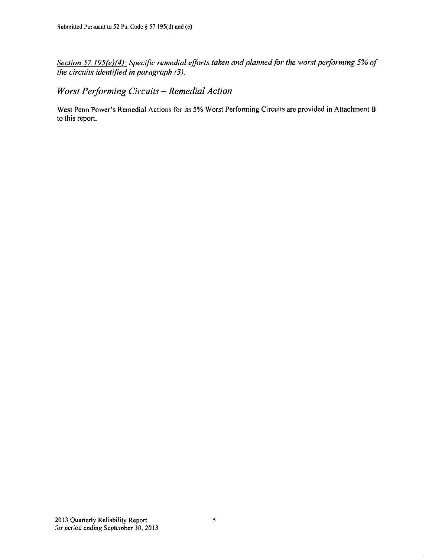*Section 57.195(e)(4): Specific remedial efforts taken and planned for the worst performing 5% of the circuits identified in paragraph (3).* 

*Worst Performing Circuits - Remedial Action* 

West Penn Power's Remedial Actions for its 5% Worst Performing Circuits are provided in Attachment B to this report.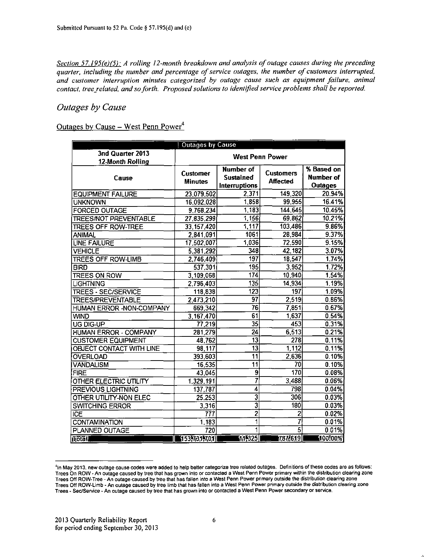*Section 57.195(e)(5): A rolling 12-month breakdown and analysis of outage causes during the preceding quarter, including the number and percentage of service outages, the number of customers interrupted, and customer interruption minutes categorized by outage cause such as equipment failure, animal contact, tree related, and so forth. Proposed solutions to identified service problems shall be reported.* 

#### *Outages by Cause*

## Outages by Cause - West Penn Power<sup>4</sup>

| <b>Outages by Cause</b>      |                 |                           |                        |                |  |  |  |  |
|------------------------------|-----------------|---------------------------|------------------------|----------------|--|--|--|--|
| 3nd Quarter 2013             |                 |                           | <b>West Penn Power</b> |                |  |  |  |  |
| 12-Month Rolling             |                 |                           |                        |                |  |  |  |  |
|                              | <b>Customer</b> | Number of                 | <b>Customers</b>       | % Based on     |  |  |  |  |
| Cause                        | <b>Minutes</b>  | <b>Sustained</b>          | <b>Affected</b>        | Number of      |  |  |  |  |
|                              |                 | Interruptions             |                        | <b>Outages</b> |  |  |  |  |
| <b>EQUIPMENT FAILURE</b>     | 23.079.502      | 2,371                     | 149,320                | 20.94%         |  |  |  |  |
| <b>UNKNOWN</b>               | 16.092.028      | 1,858                     | 99,955                 | 16.41%         |  |  |  |  |
| <b>FORCED OUTAGE</b>         | 9,768,234       | 1,183                     | 144,645                | 10.45%         |  |  |  |  |
| <b>TREES/NOT PREVENTABLE</b> | 27,835,299      | 1,156                     | 69,862                 | 10.21%         |  |  |  |  |
| <b>TREES OFF ROW-TREE</b>    | 33, 157, 420    | 1,117                     | 103,486                | 9.86%          |  |  |  |  |
| <b>ANIMAL</b>                | 2,841,091       | 1061                      | 28.984                 | 9.37%          |  |  |  |  |
| <b>LINE FAILURE</b>          | 17.502,007      | 1,036                     | 72,590                 | 9.15%          |  |  |  |  |
| <b>VEHICLE</b>               | 5,381,292       | 348                       | 42,182                 | 3.07%          |  |  |  |  |
| <b>TREES OFF ROW-LIMB</b>    | 2,746,409       | 197                       | 18,547                 | 1.74%          |  |  |  |  |
| <b>BIRD</b>                  | 537,301         | 195                       | 3,952                  | 1.72%          |  |  |  |  |
| <b>TREES ON ROW</b>          | 3,109,068       | 174                       | 10,940                 | 1.54%          |  |  |  |  |
| <b>LIGHTNING</b>             | 2.796,403       | 135                       | 14,934                 | 1.19%          |  |  |  |  |
| <b>TREES - SEC/SERVICE</b>   | 118,838         | $\overline{123}$          | $\overline{197}$       | 1.09%          |  |  |  |  |
| <b>TREES/PREVENTABLE</b>     | 2,473,210       | 97                        | 2,519                  | 0.86%          |  |  |  |  |
| HUMAN ERROR - NON-COMPANY    | 669,342         | 76                        | 7,851                  | 0.67%          |  |  |  |  |
| <b>WIND</b>                  | 3,167,470       | 61                        | 1,637                  | 0.54%          |  |  |  |  |
| UG DIG-UP                    | 77,219          | $\overline{35}$           | 453                    | 0.31%          |  |  |  |  |
| <b>HUMAN ERROR - COMPANY</b> | 281,279         | $\overline{24}$           | 6,513                  | 0.21%          |  |  |  |  |
| <b>CUSTOMER EQUIPMENT</b>    | 48,762          | $\overline{13}$           | 278                    | 0.11%          |  |  |  |  |
| OBJECT CONTACT WITH LINE     | 98,117          | 13                        | 1,112                  | 0.11%          |  |  |  |  |
| <b>OVERLOAD</b>              | 393,603         | $\overline{11}$           | 2,636                  | 0.10%          |  |  |  |  |
| <b>VANDALISM</b>             | 16,535          | $\overline{11}$           | 70                     | 0.10%          |  |  |  |  |
| <b>FIRE</b>                  | 43,045          | 9                         | 170                    | 0.08%          |  |  |  |  |
| OTHER ELECTRIC UTILITY       | 1,329,191       | 7                         | 3,488                  | 0.06%          |  |  |  |  |
| <b>PREVIOUS LIGHTNING</b>    | 137,787         | 4                         | 798                    | 0.04%          |  |  |  |  |
| OTHER UTILITY-NON ELEC       | 25,253          | 3                         | 306                    | 0.03%          |  |  |  |  |
| <b>SWITCHING ERROR</b>       | 3,316           | $\overline{\overline{3}}$ | 180                    | 0.03%          |  |  |  |  |
| <b>ICE</b>                   | 777             | $\overline{2}$            | 2                      | 0.02%          |  |  |  |  |
| <b>CONTAMINATION</b>         | 1,183           | 1                         | 7                      | 0.01%          |  |  |  |  |
| <b>PLANNED OUTAGE</b>        | 720             |                           | $\overline{5}$         | 0.01%          |  |  |  |  |
| <b>iliotal</b>               | 153,731,701     | [11,325]                  | 787519                 | 100!00%        |  |  |  |  |

<sup>4</sup> ln May 2013, new outage cause codes were added to help better categorize tree related outages. Definitions of these codes are as follows: Trees On ROW - An outage caused by tree that has grown into or contacted a West Penn Power primary within the distribution clearing zone Trees Off ROW-Tree - An outage caused by tree that has fallen into a West Penn Power primary outside the distribution clearing zone Trees Off ROW-Limb - An outage caused by tree limb that has fallen into a West Penn Power primary outside the distribution clearing zone Trees - Sec/Service - An outage caused by tree that has grown into or contacted a West Penn Power secondary or service.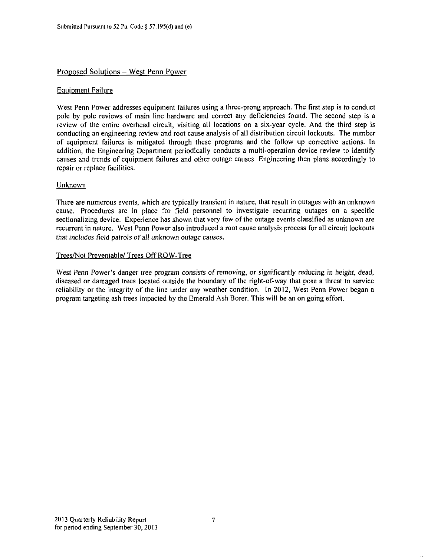#### Proposed Solutions - West Penn Power

#### Equipment Failure

West Penn Power addresses equipment failures using a three-prong approach. The first step is to conduct pole by pole reviews of main line hardware and correct any deficiencies found. The second step is a review of the entire overhead circuit, visiting all locations on a six-year cycle. And the third step is conducting an engineering review and root cause analysis of all distribution circuit lockouts. The number of equipment failures is mitigated through these programs and the follow up corrective actions. In addition, the Engineering Department periodically conducts a multi-operation device review to identify causes and trends of equipment failures and other outage causes. Engineering then plans accordingly to repair or replace facilities.

#### Unknown

There are numerous events, which are typically transient in nature, that result in outages with an unknown cause. Procedures are in place for Field personnel to investigate recurring outages on a specific sectionalizing device. Experience has shown that very few of the outage events classified as unknown are recurrent in nature. West Penn Power also introduced a root cause analysis process for all circuit lockouts that includes field patrols of all unknown outage causes.

#### Trees/Not Preventable/ Trees Off ROW-Tree

West Penn Power's danger tree program consists of removing, or significantly reducing in height, dead, diseased or damaged trees located outside the boundary of the right-of-way that pose a threat to service reliability or the integrity of the line under any weather condition. In 2012, West Penn Power began a program targeting ash trees impacted by the Emerald Ash Borer. This will be an on going effort.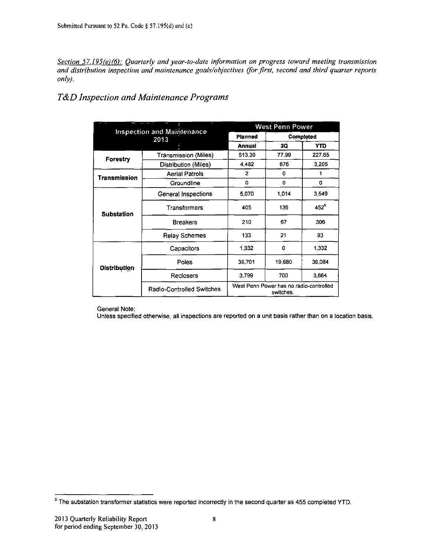*Section 57.195(e)(6): Quarterly and year-to-date information on progress toward meeting transmission and distribution inspection and maintenance goals/objectives (for first, second and third quarter reports only).* 

## *T&D Inspection and Maintenance Programs*

|              |                                           |                                                      | <b>West Penn Power</b> |           |  |
|--------------|-------------------------------------------|------------------------------------------------------|------------------------|-----------|--|
|              | <b>Inspection and Maintenance</b><br>2013 | Planned                                              |                        | Completed |  |
|              |                                           | <b>Annual</b>                                        | 3Q                     | YTD       |  |
| Forestry     | <b>Transmission (Miles)</b>               | 513.30                                               | 77.99                  | 227.65    |  |
|              | Distribution (Miles)                      | 4482                                                 | 676                    | 3,205     |  |
| Transmission | <b>Aerial Patrols</b>                     | $\overline{2}$                                       | 0                      |           |  |
|              | Groundline                                | 0                                                    | 0                      | 0         |  |
|              | General Inspections                       | 5.070                                                | 1.014                  | 3,549     |  |
| Substation   | Transformers                              | 405                                                  | 136                    | $452^5$   |  |
|              | <b>Breakers</b>                           | 210                                                  | 67                     | 306       |  |
|              | <b>Relay Schemes</b>                      | 133                                                  | 21                     | 93        |  |
|              | Capacitors                                | 1.332                                                | ٥                      | 1.332     |  |
| Distribution | Poles                                     | 38.701                                               | 19,680                 | 36.084    |  |
|              | Reclosers                                 | 3.799                                                | 700                    | 3,664     |  |
|              | Radio-Controlled Switches                 | West Penn Power has no radio-controlled<br>switches. |                        |           |  |

General Note:

Unless specified otherwise, all inspections are reported on a unit basis rather than on a location basis.

 $<sup>5</sup>$  The substation transformer statistics were reported incorrectly in the second quarter as 455 completed YTD.</sup>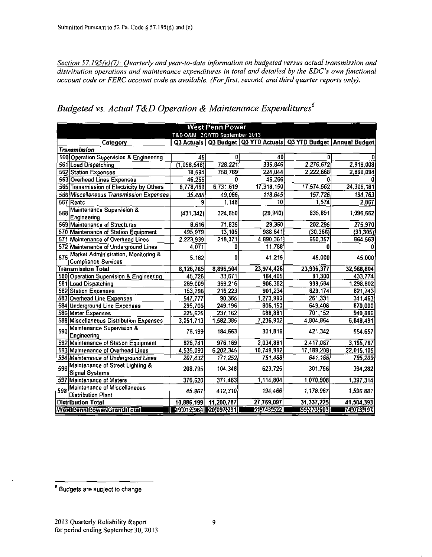*Section 57.195{e){7): Quarterly and year-to-date information on budgeted versus actual transmission and distribution operations and maintenance expenditures in total and detailed by the EDC's own functional account code or FERC account code as available. (For first, second, and third quarter reports only).* 

|                                                                          |                       |                                 |            |                                                                         | West Penn Power |  |  |  |  |  |  |  |  |  |  |
|--------------------------------------------------------------------------|-----------------------|---------------------------------|------------|-------------------------------------------------------------------------|-----------------|--|--|--|--|--|--|--|--|--|--|
|                                                                          |                       | T&D O&M - 3Q/YTD September 2013 |            |                                                                         |                 |  |  |  |  |  |  |  |  |  |  |
| Category                                                                 |                       |                                 |            | Q3 Actuals   Q3 Budget   Q3 YTD Actuals   Q3 YTD Budget   Annual Budget |                 |  |  |  |  |  |  |  |  |  |  |
| <b>Transmission</b>                                                      |                       |                                 |            |                                                                         |                 |  |  |  |  |  |  |  |  |  |  |
| 560 Operation Supervision & Engineering                                  | 45                    | 0                               | 40         | Ω                                                                       |                 |  |  |  |  |  |  |  |  |  |  |
| 561 Load Dispatching                                                     | (1,058,548)           | 728,221                         | 335,846    | 2,276,672                                                               | 2,918,008       |  |  |  |  |  |  |  |  |  |  |
| 562 Station Expenses                                                     | 18,594                | 758,789                         | 224,044    | 2.222,668                                                               | 2,898,094       |  |  |  |  |  |  |  |  |  |  |
| 563 Overhead Lines Expenses                                              | 46,266                | ٥                               | 46,266     | Ω                                                                       |                 |  |  |  |  |  |  |  |  |  |  |
| 565 Transmission of Electricity by Others                                | 6,778,469             | 6,731,619                       | 17,318,150 | 17,574,562                                                              | 24,306,181      |  |  |  |  |  |  |  |  |  |  |
| 566 Miscellaneous Transmission Expenses                                  | 35.485                | 49,066                          | 118,645    | 157,726                                                                 | 194,763         |  |  |  |  |  |  |  |  |  |  |
| 567 Rents                                                                | 9                     | 1,148                           | 10         | 1,574                                                                   | 2,867           |  |  |  |  |  |  |  |  |  |  |
| Maintenance Supervision &<br>568<br>Engineering                          | (431, 342)            | 324,650                         | (29.940)   | 835,891                                                                 | 1,096,662       |  |  |  |  |  |  |  |  |  |  |
| 569 Maintenance of Structures                                            | 8,616                 | 71,835                          | 29,360     | 202,295                                                                 | 275,970         |  |  |  |  |  |  |  |  |  |  |
| 570 Maintenance of Station Equipment                                     | 495,979               | 13,105                          | 988,641    | (30, 366)                                                               | (33, 305)       |  |  |  |  |  |  |  |  |  |  |
| 571 Maintenance of Overhead Lines                                        | 2,223,939             | 218,071                         | 4,890,361  | 650,357                                                                 | 864,563         |  |  |  |  |  |  |  |  |  |  |
| 572 Maintenance of Underground Lines                                     | 4,071                 | 0                               | 11,788     | 0                                                                       |                 |  |  |  |  |  |  |  |  |  |  |
| Market Administration, Monitoring &<br>575<br><b>Compliance Services</b> | 5,182                 | 0                               | 41,215     | 45,000                                                                  | 45,000          |  |  |  |  |  |  |  |  |  |  |
| Transmission Total                                                       | 8,126,765             | 8,896,504                       | 23,974,426 | 23,936,377                                                              | 32,568,804      |  |  |  |  |  |  |  |  |  |  |
| 580 Operation Supervision & Engineering                                  | 45,726                | 33,671                          | 184,405    | 81,300                                                                  | 433,774         |  |  |  |  |  |  |  |  |  |  |
| 581 Load Dispatching                                                     | 289,009               | 369,216                         | 906,382    | 989,584                                                                 | 1,298,802       |  |  |  |  |  |  |  |  |  |  |
| 582 Station Expenses                                                     | 153,798               | 216,223                         | 901,234    | 629,174                                                                 | 821,743         |  |  |  |  |  |  |  |  |  |  |
| 583 Overhead Line Expenses                                               | 547 777               | 90,365                          | 1,273,990  | 261,331                                                                 | 341,463         |  |  |  |  |  |  |  |  |  |  |
| 584 Underground Line Expenses                                            | 295,706               | 249,196                         | 806,150    | 649,406                                                                 | 870,000         |  |  |  |  |  |  |  |  |  |  |
| 586 Meter Expenses                                                       | 225,625               | 237,162                         | 688,881    | 701,152                                                                 | 940,886         |  |  |  |  |  |  |  |  |  |  |
| 588 Miscellaneous Distribution Expenses                                  | 3,051,713             | 1,582,385                       | 7,236,902  | 4,804,864                                                               | 6,848,491       |  |  |  |  |  |  |  |  |  |  |
| Maintenance Supervision &<br>590<br>Engineering                          | 76 199                | 184,663                         | 301,816    | 421,342                                                                 | 554,657         |  |  |  |  |  |  |  |  |  |  |
| 592 Maintenance of Station Equipment                                     | 826.741               | 976,169                         | 2,034,881  | 2,417,067                                                               | 3,195,787       |  |  |  |  |  |  |  |  |  |  |
| 593 Maintenance of Overhead Lines                                        | 4,535,093             | 6,202,345                       | 10,749,992 | 17, 189, 208                                                            | 22,015,105      |  |  |  |  |  |  |  |  |  |  |
| 594 Maintenance of Underground Lines                                     | 207,432               | 171,252                         | 751,468    | 641,166                                                                 | 795,209         |  |  |  |  |  |  |  |  |  |  |
| Maintenance of Street Lighting &<br>596<br><b>Signal Systems</b>         | 208.795               | 104.348                         | 623,725    | 301,756                                                                 | 394,282         |  |  |  |  |  |  |  |  |  |  |
| 597 Maintenance of Meters                                                | 376,620               | 371,483                         | 1,114,804  | 1,070,908                                                               | 1,397,314       |  |  |  |  |  |  |  |  |  |  |
| Maintenance of Miscellaneous<br>598<br><b>Distribution Plant</b>         | 45.967                | 412,310                         | 194,466    | 1,178,967                                                               | 1,596,881       |  |  |  |  |  |  |  |  |  |  |
| <b>Distribution Total</b>                                                | 10,886,199            | 11,200,787                      | 27,769,097 | 31,337,225                                                              | 41,504,393      |  |  |  |  |  |  |  |  |  |  |
| WestIPennIPowerIGrandIT.otal                                             | 19,012,964 20,097,291 |                                 | 51,743,522 | 55,273,603                                                              | 74,073,197      |  |  |  |  |  |  |  |  |  |  |

## *Budgeted vs. Actual T&D Operation & Maintenance Expenditures\*^*

 $<sup>6</sup>$  Budgets are subject to change</sup>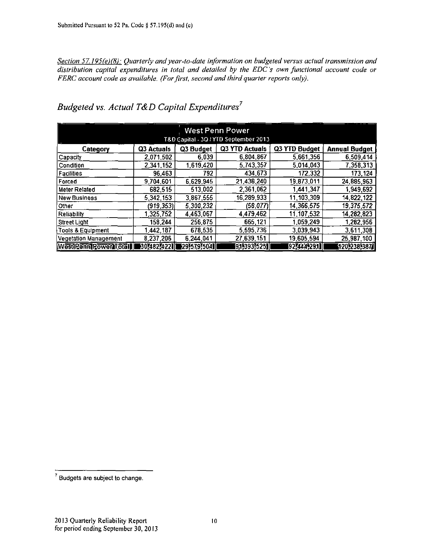*Section 57.195(e)(8): Quarterly and year-to-date information on budgeted versus actual transmission and distribution capital expenditures in total and detailed by the EDC's own functional account code or FERC account code as available. (Forfirst, second and third quarter reports only).* 

| <b>West Penn Power</b><br>T&D Capital - 30 / YTD September 2013 |             |             |                |               |                      |  |  |  |
|-----------------------------------------------------------------|-------------|-------------|----------------|---------------|----------------------|--|--|--|
| Category                                                        | Q3 Actuals  | Q3 Budget   | Q3 YTD Actuals | Q3 YTD Budget | <b>Annual Budget</b> |  |  |  |
| Capacity                                                        | 2,071,502   | 6,039       | 6,804,867      | 5.661,356     | 6,509,414            |  |  |  |
| Condition                                                       | 2,341,152   | 1,619,420   | 5,743,357      | 5.014.043     | 7,358,313            |  |  |  |
| <b>Facilities</b>                                               | 96.463      | 792         | 434,673        | 172,332       | 173,124              |  |  |  |
| Forced                                                          | 9,704,601   | 6.629.945   | 21,438,240     | 19,873,011    | 24,885,963           |  |  |  |
| Meter Related                                                   | 682.515     | 513,002     | 2,361,062      | 1.441.347     | 1,949,692            |  |  |  |
| New Business                                                    | 5 342 153   | 3,867,555   | 16,289,933     | 11, 103, 309  | 14,822,122           |  |  |  |
| ∣Other                                                          | (919, 353)  | 5,300,232   | (58, 077)      | 14,366,575    | 19,375,572           |  |  |  |
| Reliability                                                     | 325,752     | 4,463,067   | 4,479,462      | 11, 107, 532  | 14, 282, 823         |  |  |  |
| Street Light                                                    | 158,244     | 256,875     | 665,121        | 1 059,249     | 1,282,956            |  |  |  |
| Tools & Equipment                                               | 442.187     | 678,535     | 5,595,736      | 3.039.943     | 3,611,308            |  |  |  |
| Vegetation Management                                           | 8.237,206   | 6.244.041   | 27,639,151     | 19,605,594    | 25,987,100           |  |  |  |
| WestPennPower16tal                                              | 30748274221 | 29]579]5041 | [91,393,525]   | [92]444291]   | 120,238,3871         |  |  |  |

*Budgeted vs. Actual T&D Capital Expenditures<sup>7</sup>*

<sup>7</sup> Budgets are subject to change.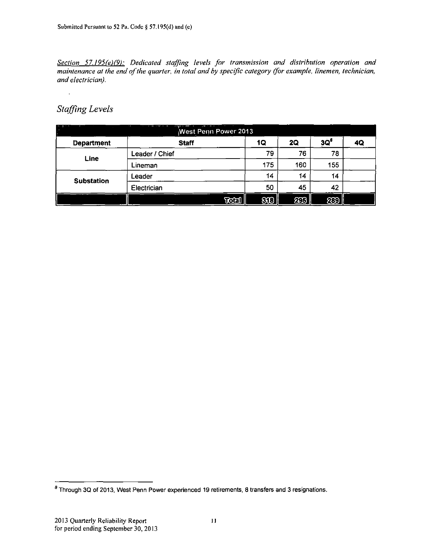*Section 57.195(e)(9): Dedicated staffing levels for transmission and distribution operation and maintenance at the end of the quarter, in total and by specific category (for example, linemen, technician, and electrician).* 

## *Staffing Levels*

 $\ddot{\phantom{a}}$ 

|                   | $\sim$         | West Penn Power 2013 |       |     |           |                 |    |
|-------------------|----------------|----------------------|-------|-----|-----------|-----------------|----|
| <b>Department</b> |                | <b>Staff</b>         |       | 1Q  | <b>2Q</b> | 3Q <sup>8</sup> | 4Q |
| Line              | Leader / Chief |                      |       | 79  | 76        | 78              |    |
|                   | Lineman        |                      |       | 175 | 160       | 155             |    |
| <b>Substation</b> | Leader         |                      |       | 14  | 14        | 14              |    |
|                   | Electrician    |                      |       | 50  | 45        | 42              |    |
|                   |                |                      | Total | 800 | 235       | 289             |    |

<sup>&</sup>lt;sup>8</sup> Through 3Q of 2013, West Penn Power experienced 19 retirements, 8 transfers and 3 resignations.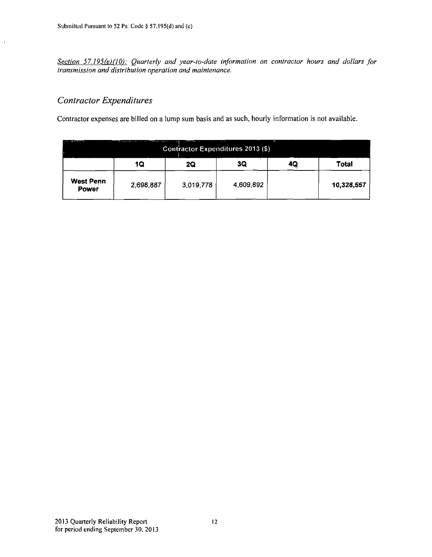**Section 57.195(e)(10):** Quarterly and year-to-date information on contractor hours and dollars for *transmission and distribution operation and maintenance.* 

## *Contractor Expenditures*

 $\ddot{\phantom{a}}$ 

Contractor expenses are billed on a lump sum basis and as such, hourly information is not available.

| ŀ<br>------<br>Contractor Expenditures 2013 (\$) |           |           |           |    |            |  |  |  |
|--------------------------------------------------|-----------|-----------|-----------|----|------------|--|--|--|
|                                                  | 10        | 20        | 3Q        | 40 | Total      |  |  |  |
| <b>West Penn</b><br><b>Power</b>                 | 2,698,887 | 3,019,778 | 4,609,892 |    | 10,328,557 |  |  |  |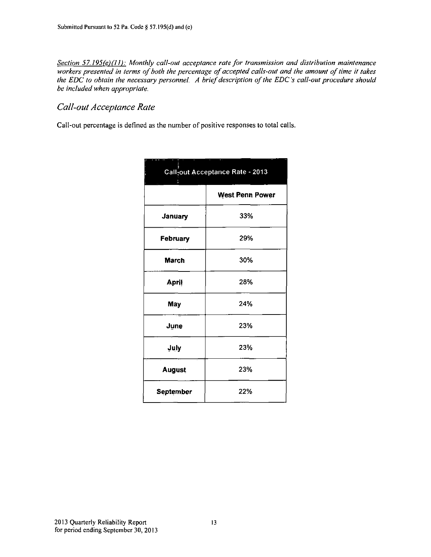*Section 57.l95(e)(l I): Monthly call-out acceptance rate for transmission and distribution maintenance workers presented in terms of both the percentage of accepted calls-out and the amount of time it takes the EDC to obtain the necessary personnel. A brief description of the EDC's call-out procedure should be included when appropriate.* 

### *Call-out Acceptance Rate*

Call-out percentage is defined as the number of positive responses to total calls.

|                  | в.<br>Call-out Acceptance Rate - 2013 |  |  |  |  |  |  |  |
|------------------|---------------------------------------|--|--|--|--|--|--|--|
|                  | <b>West Penn Power</b>                |  |  |  |  |  |  |  |
| <b>January</b>   | 33%                                   |  |  |  |  |  |  |  |
| February         | 29%                                   |  |  |  |  |  |  |  |
| <b>March</b>     | 30%                                   |  |  |  |  |  |  |  |
| <b>April</b>     | 28%                                   |  |  |  |  |  |  |  |
| May              | 24%                                   |  |  |  |  |  |  |  |
| June             | 23%                                   |  |  |  |  |  |  |  |
| July             | 23%                                   |  |  |  |  |  |  |  |
| <b>August</b>    | 23%                                   |  |  |  |  |  |  |  |
| <b>September</b> | 22%                                   |  |  |  |  |  |  |  |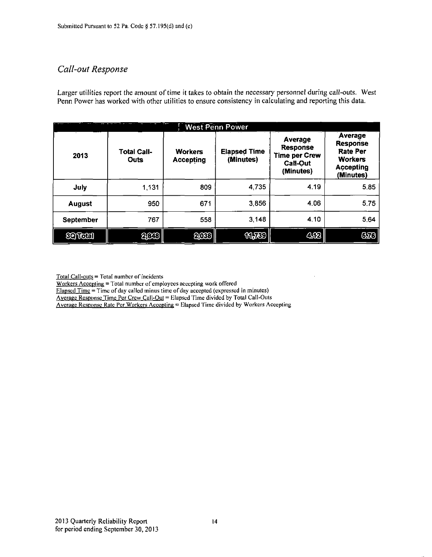## *Call-out Response*

Larger utilities report the amount of time it takes to obtain the necessary personnel during call-outs. West Penn Power has worked with other utilities to ensure consistency in calculating and reporting this data.

|                      | <b>West Penn Power</b>     |                                    |                                  |                                                                                           |                                                                                                  |  |  |  |  |  |  |
|----------------------|----------------------------|------------------------------------|----------------------------------|-------------------------------------------------------------------------------------------|--------------------------------------------------------------------------------------------------|--|--|--|--|--|--|
| 2013                 | <b>Total Call-</b><br>Outs | <b>Workers</b><br><b>Accepting</b> | <b>Elapsed Time</b><br>(Minutes) | <b>Average</b><br><b>Response</b><br><b>Time per Crew</b><br><b>Call-Out</b><br>(Minutes) | Average<br><b>Response</b><br><b>Rate Per</b><br><b>Workers</b><br><b>Accepting</b><br>(Minutes) |  |  |  |  |  |  |
| July                 | 1,131                      | 809                                | 4,735                            | 4.19                                                                                      | 5.85                                                                                             |  |  |  |  |  |  |
| <b>August</b>        | 950                        | 671                                | 3,856                            | 4.06                                                                                      | 5.75                                                                                             |  |  |  |  |  |  |
| <b>September</b>     | 767                        | 558                                | 3,148                            | 4.10                                                                                      | 5.64                                                                                             |  |  |  |  |  |  |
| <b><i>COTOCO</i></b> | 2003                       | 2033                               | <b>MJED</b>                      | 412                                                                                       | 670                                                                                              |  |  |  |  |  |  |

Total Call-outs = I'otal number of incidents

Workers Accepting = Total number of employees accepting work offered

 $E$ lapsed Time = Time of day called minus time of day accepted (expressed in minutes)

Average Response Time Per Crew Call-Out = Elapsed Time divided by Total Call-Outs

Average Response Rate Per Workers Accepting = Elapsed Time divided by Workers Accepting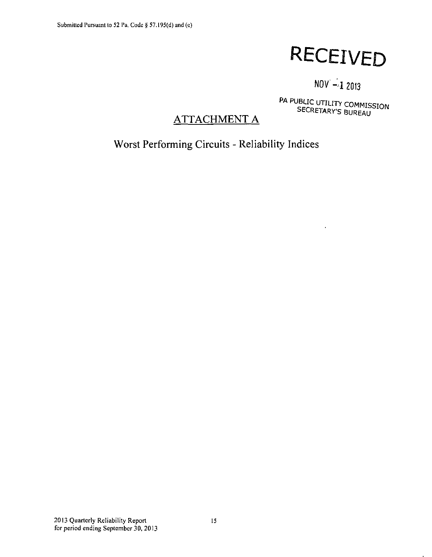# **RECEIVED**

## $NOV -12013$

SECRETARY'S BUREAU

## **ATTACHMENT A**

**Worst Performing Circuits - Reliability Indices**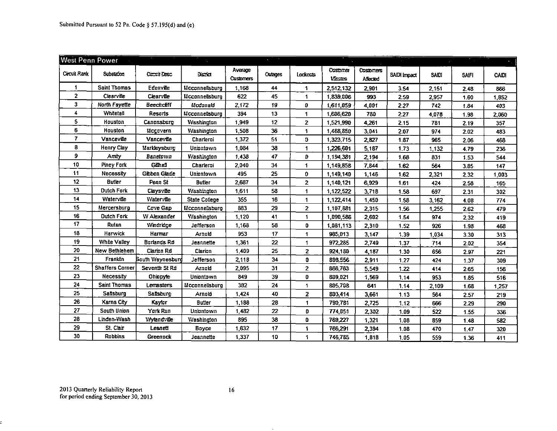| <b>West Penn Power</b> |                        |                     |                    |                             | $\mathcal{L}_{\rm{max}}$ |                      |                                 |                              |              |       |              |       |
|------------------------|------------------------|---------------------|--------------------|-----------------------------|--------------------------|----------------------|---------------------------------|------------------------------|--------------|-------|--------------|-------|
| Circuit Rank           | Substation             | <b>Circuit Desc</b> | <b>UISTRO</b>      | Average<br><b>Customers</b> | <b>Outages</b>           | Lockccas             | <b>Ostomer</b><br><b>Limits</b> | <b>Costomers</b><br>Affected | SAIDI Impact | SAID! | <b>SAIFI</b> | CAIDI |
| $\mathbf 1$            | Saint Thomas           | Ecenville           | Mcconnellsburg     | 1,168                       | 44                       | 1                    | 2,512,132                       | 2,901                        | 3.54         | 2,151 | 2.48         | 866   |
| $\overline{2}$         | Clearville             | Clearville          | Mcconnellsburg     | 622                         | 45                       | 1.                   | 1,839,006                       | 993                          | 2.59         | 2,957 | 1.60         | 1,852 |
| 3.                     | North Fayette          | Beechcliff          | Mcdonald           | 2,172                       | 19                       | O                    | 1,611,059                       | 4,001                        | 2.27         | 742   | 1.84         | 403   |
| 4                      | Whitetail              | Resorts             | Mcconnellsburg     | 394                         | 13                       | 1                    | 1,606,620                       | 780                          | 2.27         | 4,078 | 1.98         | 2,060 |
| 5                      | Houston                | Canonsburg          | Washington         | 1,949                       | 12                       | $\mathbf{z}$         | 1,521,990                       | 4,261                        | 2.15         | 781   | 2.19         | 357   |
| 6                      | Houston                | Mogovern            | <b>Washington</b>  | 1.508                       | 36                       | 1                    | 1,468,850                       | 3,041                        | 2.07         | 974   | 2.02         | 483   |
| 7                      | Vanceville             | Vanceville          | Charleroi          | 1,372                       | 51                       | D.                   | 1,323,715                       | 2,827                        | 1.87         | 965   | 2.06         | 468   |
| 8                      | <b>Henry Clay</b>      | Markleysburg        | Uniontown          | 1.084                       | 38                       | 1                    | 1,226,601                       | 5,187                        | 1.73         | 1,132 | 4.79         | 236   |
| 9                      | Amity                  | Banetown            | <b>Washington</b>  | 1,438                       | 47                       | D                    | 1,194,381                       | 2,194                        | 1.68         | 831   | 1.53         | 544   |
| 10                     | Piney Fork             | Gdl.al              | Charleroi          | 2,040                       | 34                       | 1                    | 1,149,858                       | 7,844                        | 1.62         | 564   | 3.85         | 147   |
| 11                     | Necessity              | Gibbon Glade        | Uniontown          | 495                         | 25                       | 0                    | 1,149,140                       | 1,146                        | 1.62         | 2,321 | 2.32         | 1.003 |
| 12                     | <b>Butler</b>          | Penn <sub>St</sub>  | <b>Butler</b>      | 2,687                       | 34                       | $\overline{2}$       | 1,140,121                       | 6,929                        | 1.61         | 424   | 2.58         | 165   |
| 13                     | <b>Dutch Fork</b>      | Claysville          | <b>V</b> ashington | 1,611                       | 58                       | 1                    | 1,122,522                       | 3,718                        | 1.58         | 697   | 2.31         | 302   |
| 14                     | Waterville             | Waterville          | State College      | 355                         | 16                       | 1                    | 1,122,414                       | 1,450                        | 1.58         | 3.162 | 4.08         | 774   |
| 15                     | Mercersburg            | Cove Gap            | Mcconnellsburg     | 883                         | 29                       | $\overline{2}$       | 1,107,881                       | 2,315                        | 1.56         | 1,255 | 2.62         | 479   |
| 16                     | <b>Dutch Fork</b>      | W Alexander         | <b>Yvashington</b> | 1.120                       | 41                       | 1                    | 1,090,586                       | 2,602                        | 1.54         | 974   | 2.32         | 419   |
| 17                     | Rutan                  | Vendridge           | Jefferson          | 1.168                       | 58                       | o                    | 1,081,113                       | 2,310                        | 1.52         | 926   | 1.98         | 468   |
| 18                     | Harwick                | Harmar              | Arnold             | 953                         | 17                       | 1                    | 985.013                         | 3,147                        | 1.39         | 1,034 | 3.30         | 313   |
| 19                     | White Valley           | Borlands Rd         | Jeannette          | 1,361                       | 22                       | $\blacktriangleleft$ | 972,285                         | 2,749                        | 1.37         | 714   | 2.02         | 354   |
| 20                     | New Bethlehem          | Clarion Rd          | Clarion            | 1,409                       | 25                       | $\mathbf{z}$         | 924.180                         | 4,187                        | 1.30         | 656   | 2.97         | 221   |
| 21                     | Franklin               | Bouth Waynesburg    | Jefferson          | 2,118                       | 34                       | o                    | 898.556                         | 2,911                        | 1.27         | 424   | 1.37         | 309   |
| 22                     | <b>Shaffers Corner</b> | Seventh St Rd       | Arneld             | 2,095                       | 31                       | $\overline{2}$       | 866,763                         | 5,549                        | 1.22         | 414   | 2.65         | 156   |
| 23                     | Necessity              | Ohnoyle             | Uniontown          | 849                         | 39                       | 0                    | 809.021                         | 1,569                        | 1.14         | 953   | 1.85         | 516   |
| 24                     | Saint Thomas           | <b>Lemasters</b>    | Mcconnellsburg     | 382                         | 24                       | $\mathbf{1}$         | 805.708                         | 641                          | 1.14         | 2,109 | 1.68         | 1,257 |
| 25                     | Saltsburg              | Saltsburg           | Arnold             | 1,424                       | 40                       | $\overline{z}$       | 803,414                         | 3,661                        | 1.13         | 564   | 2.57         | 219   |
| 26                     | Karns City             | Kaylor              | <b>Butler</b>      | 1,188                       | 28                       | $\mathbf 1$          | 790,781                         | 2,725                        | 1.12         | 666   | 2.29         | 290   |
| 27                     | South Union            | York Run            | Uniontown          | 1,482                       | 22                       | D                    | 774.051                         | 2,302                        | 1.09         | 522   | 1.55         | 336   |
| 28                     | Linden-Wash            | Wytand die          | Washington         | 895                         | 38                       | 0                    | 769.227                         | 1,321                        | 1.08         | 859   | 1.48         | 582   |
| 29                     | St. Clair              | Lesnett             | Boyce              | 1,632                       | 17                       | 1                    | 766,291                         | 2,394                        | 1.08         | 470   | 1.47         | 320   |
| 30                     | Robbins                | Greenock            | Jeannette          | 1,337                       | 10                       | 1                    | 746,785                         | 1,818                        | 1.05         | 559   | 1.36         | 411   |

E,

 $\sim$   $-$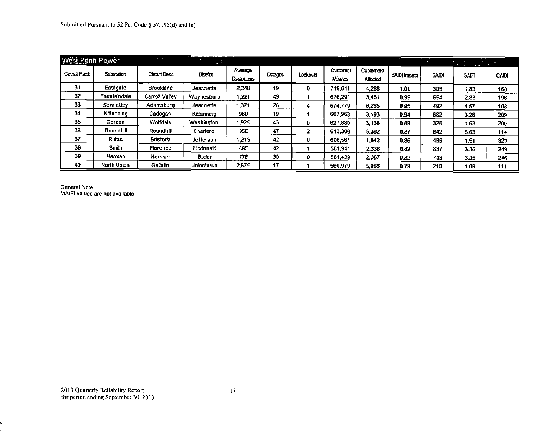| <b>West Penn Power</b> |              | <b>STATISTICS</b> | -             | .                    |         |          |                     |                              |              |              | $\sim 100$ km s $^{-1}$<br>$\mathcal{L} = \mathcal{L}$ |       |
|------------------------|--------------|-------------------|---------------|----------------------|---------|----------|---------------------|------------------------------|--------------|--------------|--------------------------------------------------------|-------|
| Crozzi Rank            | Substation   | Circuit Desc      | District      | Average<br>Castomers | Cutages | Lockouts | Customer<br>Minutes | <b>Customers</b><br>Affected | SAIDI Impact | <b>SAIDI</b> | <b>SAFT</b>                                            | CAIDI |
| 31                     | Eastgate     | <b>Brooklane</b>  | Jeannette     | 2,348                | 19      | 0        | 719.641             | 4,286                        | 1.01         | 306          | 1.83                                                   | 168   |
| 32                     | Fountaindale | Carroll Valley    | Waynesboro    | 1.221                | 49      |          | 676.291             | 3,451                        | 0.95         | 554          | 2.83                                                   | 196   |
| 33                     | Sewickley    | Adamsburg         | Jeannette     | 1.371                | 26      | 4        | 674.779             | 6.265                        | 0.95         | 492          | 4.57                                                   | 108   |
| 34                     | Kittanning   | Cadogan           | Kittanning    | 980                  | 19      |          | 667.963             | 3,193                        | 0.94         | 582          | 3.26                                                   | 209   |
| 35                     | Gordon       | Wolfdale          | Washington    | 1.925                | 43      | 0        | 627.880             | 3,138                        | 0.89         | 326          | 1.63                                                   | 200   |
| 36                     | Roundhill    | Roundhill         | Charlerci     | 956                  | 47      | 2        | 613.386             | 5.382                        | 0.87         | 642          | 5.63                                                   | 114   |
| 37                     | Rutan        | <b>Bristoria</b>  | Jefferson     | <b>216</b>           | 42      | 0        | 606,561             | .842                         | 0.86         | 499          | 1.51                                                   | 329   |
| 38                     | Smith        | Florence          | Medenald      | 595                  | 42      |          | 581.941             | 2.338                        | 0.82         | 837          | 3.36                                                   | 249   |
| 39                     | Herman       | Herman            | <b>Butler</b> | 776                  | 30      | 0        | 581.439             | 2,367                        | 0.82         | 749          | 3.05                                                   | 246   |
| 40                     | North Union  | Gallatin          | Uniontown     | 2,675                | 17      |          | 560,979             | 5,068                        | 0.79         | 210          | 1.89                                                   | 111   |

General Note: MAIFI values are not available

s.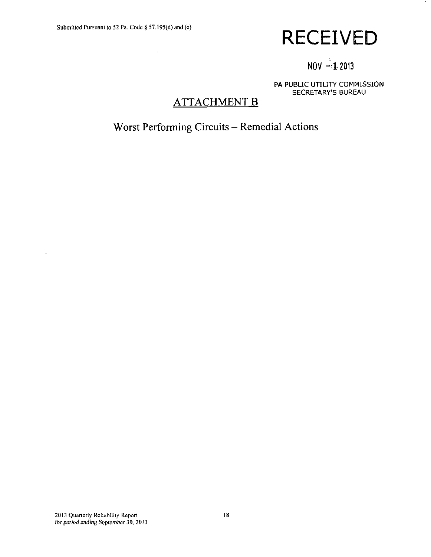$\Delta \phi$ 

# **RECEIVED**

## $NOV = 1.2013$

PA PUBLIC UTILITY COMMISSION SECRETARY'S BUREAU

## **ATTACHMENT B**

**Worst Performing Circuits - Remedial Actions** 

 $\ddot{\phantom{a}}$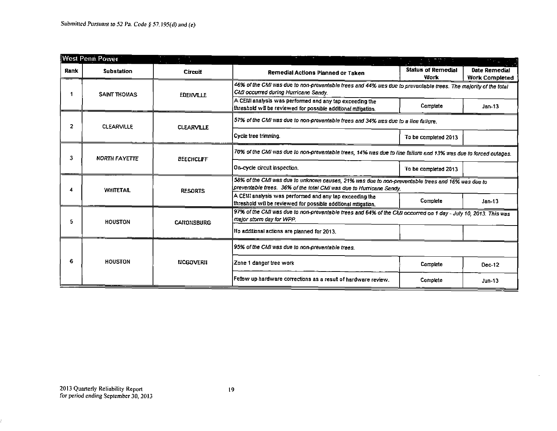|      | West Penn Power      |                   |                                                                                                                                                                          | (5) 同意の (5)                       |                                        |  |  |  |  |
|------|----------------------|-------------------|--------------------------------------------------------------------------------------------------------------------------------------------------------------------------|-----------------------------------|----------------------------------------|--|--|--|--|
| Rank | <b>Substation</b>    | Circuit           | Remedial Actions Planned or Taken                                                                                                                                        | <b>Status of Remedial</b><br>Work | Date Remedial<br><b>Work Completed</b> |  |  |  |  |
|      | <b>SAINT THOMAS</b>  | <b>EDERVILLE</b>  | 46% of the CMI was due to non-preventable trees and 44% was due to preventable trees. The majority of the total<br>CMI occurred during Hurricane Sandy.                  |                                   |                                        |  |  |  |  |
|      |                      |                   | A CEMI analysis was performed and any tap exceeding the<br>threshold will be reviewed for possible additional mitigation.                                                | Complete                          | Jan-13                                 |  |  |  |  |
| 2    | <b>CLEARVILLE</b>    | <b>CLEARVILLE</b> | 57% of the CMI was due to non-preventable trees and 34% was due to a line failure.                                                                                       |                                   |                                        |  |  |  |  |
|      |                      |                   | Cycle tree trimming.                                                                                                                                                     | To be completed 2013              |                                        |  |  |  |  |
| 3    | <b>NORTH FAYETTE</b> | <b>BEECHCLIFF</b> | 70% of the CMI was due to non-preventable trees, 14% was due to line failure and 13% was due to forced outages.                                                          |                                   |                                        |  |  |  |  |
|      |                      |                   | On-cycle circuit inspection.                                                                                                                                             | To be completed 2013              |                                        |  |  |  |  |
|      | <b>WHITETAIL</b>     | <b>RESORTS</b>    | 58% of the CMI was due to unknown causes, 21% was due to non-preventable trees and 16% was due to<br>preventable trees. 36% of the total CMI was due to Hurricane Sandy. |                                   |                                        |  |  |  |  |
|      |                      |                   | A CEM analysis was performed and any tap exceeding the<br>threshold will be reviewed for possible additional mitigation.                                                 | Complete                          | $Jan-13$                               |  |  |  |  |
| 5    | <b>HOUSTON</b>       | <b>CANONSBURG</b> | 97% of the CMI was due to non-preventable trees and 64% of the CMI occurred on 1 day - July 10, 2013. This was<br>major storm day for WPP.                               |                                   |                                        |  |  |  |  |
|      |                      |                   | No additional actions are planned for 2013.                                                                                                                              |                                   |                                        |  |  |  |  |
|      |                      |                   | 95% of the CMI was due to non-preventable trees.                                                                                                                         |                                   |                                        |  |  |  |  |
| 6    | <b>HOUSTON</b>       | <b>NCGOVERII</b>  | Zone 1 danger tree work                                                                                                                                                  | Complete                          | $Dec-12$                               |  |  |  |  |
|      |                      |                   | Fellow up hardware corrections as a result of hardware review.                                                                                                           | Complete                          | $Jun-13$                               |  |  |  |  |

V.

Ì.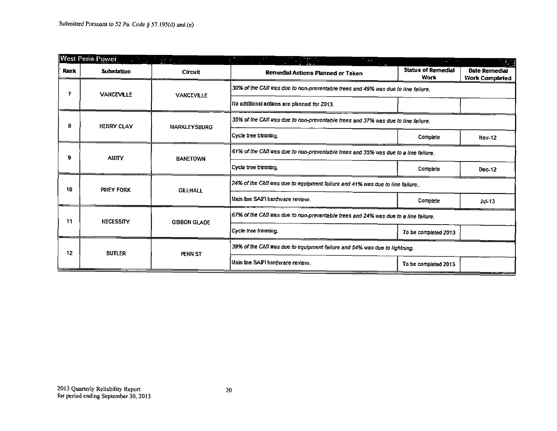|      | <b>West Penn Power</b><br><u> Alban T</u> | $\mathcal{L}^{\mathcal{L}}(\mathcal{L}^{\mathcal{L}})$ , $\mathcal{L}^{\mathcal{L}}(\mathcal{L}^{\mathcal{L}})$ | <b>State</b>                                                                       | $\mathbf{z}$ . The set of $\mathbf{z}$   |                                        |
|------|-------------------------------------------|-----------------------------------------------------------------------------------------------------------------|------------------------------------------------------------------------------------|------------------------------------------|----------------------------------------|
| Rank | <b>Substation</b>                         | <b>Circuit</b>                                                                                                  | Remedial Actions Planned or Taken                                                  | <b>Status of Remedial</b><br><b>Work</b> | Date Remedial<br><b>Work Completed</b> |
| 7    | <b>VANCEVILLE</b>                         | VANCEVILLE                                                                                                      | 30% of the CMI was due to non-preventable trees and 49% was due to line failure.   |                                          |                                        |
|      |                                           |                                                                                                                 | No additional actions are planned for 2013.                                        |                                          |                                        |
| 8    | HENRY CLAY                                | MARKLEYSBURG                                                                                                    | 35% of the CMI was due to non-preventable trees and 37% was due to line failure.   |                                          |                                        |
|      |                                           |                                                                                                                 | Cycle tree trimming.                                                               | Complete                                 | Mov-12                                 |
| 9    | <b>ALITY</b>                              | <b>BANETOWN</b>                                                                                                 | 61% of the CMI was due to non-preventable trees and 35% was due to a line failure. |                                          |                                        |
|      |                                           |                                                                                                                 | Cycle tree trimming.                                                               | Complete                                 | $Dec-12$                               |
| 10   | PINEY FORK                                | <b>GILLHALL</b>                                                                                                 | 24% of the CMI was due to equipment failure and 41% was due to line failure        |                                          |                                        |
|      |                                           |                                                                                                                 | Main line SAFI hardware review.                                                    | Complete                                 | $Ju - 13$                              |
| 11   | <b>NECESSITY</b>                          | <b>GIBBON GLADE</b>                                                                                             | 67% of the CMI was due to non-preventable trees and 24% was due to a line failure. |                                          |                                        |
|      |                                           |                                                                                                                 | Cycle tree trimming                                                                | To be completed 2013                     |                                        |
| 12   | <b>BUTLER</b>                             | PENN ST                                                                                                         | 39% of the CM was due to equipment failure and 54% was due to lightning.           |                                          |                                        |
|      |                                           |                                                                                                                 | Main line SAIFI hardware review.                                                   | To be completed 2013                     |                                        |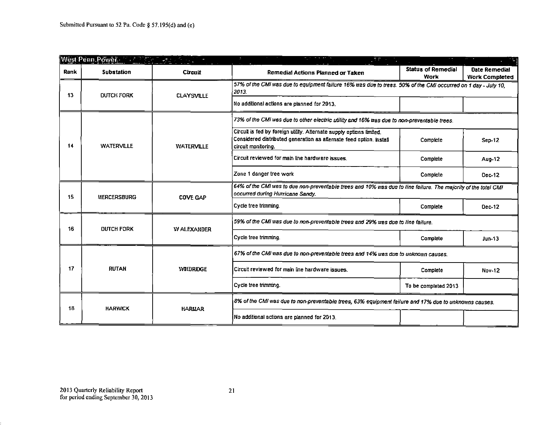|      | West Penn Power Construction of the Construction                                           |                   | $\mathcal{M}(\overline{\mathcal{M}})$ . $\mathcal{M}$                                                                                                              |                                                                                                               |                                        |  |
|------|--------------------------------------------------------------------------------------------|-------------------|--------------------------------------------------------------------------------------------------------------------------------------------------------------------|---------------------------------------------------------------------------------------------------------------|----------------------------------------|--|
| Rank | <b>Substation</b>                                                                          | Cirenti           | Remedial Actions Planned or Taken                                                                                                                                  | <b>Status of Remedial</b><br><b>Work</b>                                                                      | Date Remedial<br><b>Work Completed</b> |  |
| 13   | <b>DUTCH FORK</b>                                                                          | <b>CLAYSVILLE</b> | 2013.                                                                                                                                                              | 57% of the CMI was due to equipment failure 16% was due to trees. 50% of the CMI occurred on 1 day - July 10, |                                        |  |
|      |                                                                                            |                   | No additional actions are planned for 2013.                                                                                                                        |                                                                                                               |                                        |  |
|      | 73% of the CMI was due to other electric utility and 16% was due to non-preventable trees. |                   |                                                                                                                                                                    |                                                                                                               |                                        |  |
| 14   | <b>WATERVILLE</b>                                                                          | <b>WATERVILLE</b> | Circuit is fed by foreign utility. Alternate supply options limited.<br>Considered distributed generation as afternate feed option. Install<br>circuit monitoring. | Complete                                                                                                      | Sep-12                                 |  |
|      |                                                                                            |                   | Circuit reviewed for main line hardware issues                                                                                                                     | Complete                                                                                                      | Aug-12                                 |  |
|      |                                                                                            |                   | Zone 1 danger tree work                                                                                                                                            | Complete                                                                                                      | Dec-12                                 |  |
| 15   | <b>MERCERSBURG</b>                                                                         | <b>COVE GAP</b>   | 64% of the CMI was to due non-preventable trees and 10% was due to line failure. The majority of the total CMI<br>occurred during Hurricane Sandy.                 |                                                                                                               |                                        |  |
|      |                                                                                            |                   | Cycle tree trimming.                                                                                                                                               | Complete                                                                                                      | Dec-12                                 |  |
| 16   | <b>DUTCH FORK</b>                                                                          | <b>WALEXANDER</b> | 59% of the CMI was due to non-preventable trees and 29% was due to line failure.                                                                                   |                                                                                                               |                                        |  |
|      |                                                                                            |                   | Cycle tree trimming.                                                                                                                                               | Complete                                                                                                      | $Jun-13$                               |  |
|      |                                                                                            |                   | 67% of the CMI was due to non-preventable trees and 14% was due to unknown causes.                                                                                 |                                                                                                               |                                        |  |
| 17   | <b>RUTAN</b>                                                                               | <b>WILDRIDGE</b>  | Circuit reviewed for main line hardware issues.                                                                                                                    | Complete                                                                                                      | <b>Nov-12</b>                          |  |
|      |                                                                                            |                   | Cycle tree trimming.                                                                                                                                               | To be completed 2013                                                                                          |                                        |  |
| 18   | <b>HARWICK</b>                                                                             |                   | 8% of the CMI was due to non-preventable trees, 63% equipment failure and 17% due to unknowns causes.                                                              |                                                                                                               |                                        |  |
|      |                                                                                            | <b>HARMAR</b>     | No additional actions are planned for 2013.                                                                                                                        |                                                                                                               |                                        |  |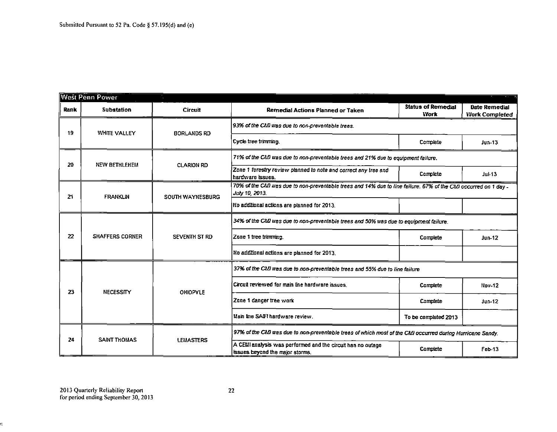|                                                                                       | West Penn Power        |                         |                                                                                                                                   |                                   |                                               |  |
|---------------------------------------------------------------------------------------|------------------------|-------------------------|-----------------------------------------------------------------------------------------------------------------------------------|-----------------------------------|-----------------------------------------------|--|
| Rank                                                                                  | <b>Substation</b>      | Circuit                 | Remedial Actions Planned or Taken                                                                                                 | <b>Status of Remedial</b><br>Work | <b>Date Remedial</b><br><b>Work Completed</b> |  |
| 19                                                                                    | <b>WHITE VALLEY</b>    | <b>BORLANDS RD</b>      | 93% of the CMI was due to non-preventable trees.                                                                                  |                                   |                                               |  |
|                                                                                       |                        |                         | Cycle tree trimmino.                                                                                                              | Complete                          | $Jun-13$                                      |  |
| 20                                                                                    | <b>NEW BETHLEHEM</b>   | <b>CLARION RD</b>       | 71% of the CMI was due to non-preventable trees and 21% due to equipment failure.                                                 |                                   |                                               |  |
|                                                                                       |                        |                         | Zone 1 forestry review planned to note and correct any tree and<br>hardware issues.                                               | Complete                          | $Ju$ $+13$                                    |  |
| 21                                                                                    | <b>FRANKLIN</b>        | <b>SOUTH WAYNESBURG</b> | 70% of the CMI was due to non-preventable trees and 14% due to line failure. 67% of the CMI occurred on 1 day -<br>July 10, 2013. |                                   |                                               |  |
|                                                                                       |                        |                         | No additional actions are planned for 2013.                                                                                       |                                   |                                               |  |
| 34% of the CMI was due to non-preventable trees and 50% was due to equipment failure. |                        |                         |                                                                                                                                   |                                   |                                               |  |
| 22                                                                                    | <b>SHAFFERS CORNER</b> | SEVENTH ST RD           | Zone 1 tree transming.                                                                                                            | Complete                          | $Jun-12$                                      |  |
|                                                                                       |                        |                         | No additional actions are planned for 2013.                                                                                       |                                   |                                               |  |
|                                                                                       |                        |                         | 37% of the CMI was due to non-preventable trees and 55% due to line failure                                                       |                                   |                                               |  |
| 23                                                                                    | <b>NECESSITY</b>       | <b>OHIOPYLE</b>         | Circuit reviewed for main line hardware issues.                                                                                   | Complete                          | Nov-12                                        |  |
|                                                                                       |                        |                         | Zone 1 danger tree work                                                                                                           | Complete                          | $J$ un-12                                     |  |
|                                                                                       |                        |                         | Main fine SAIFI hardware review.                                                                                                  | To be completed 2013              |                                               |  |
| 24                                                                                    | <b>SAINT THOMAS</b>    | <b>I FMASTERS</b>       | 97% of the CMI was due to non-preventable trees of which most of the CMI occurred during Hurricane Sandy.                         |                                   |                                               |  |
|                                                                                       |                        |                         | A CEMI analysis was performed and the circuit has no outage<br>issues beyond the major storms.                                    | Complete                          | Feb-13                                        |  |

ċ,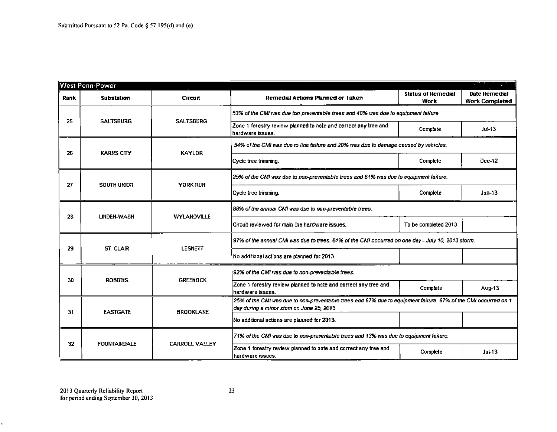|      | <b>West Penn Power</b> |                       |                                                                                                                                                            |                                   | <b>START ST</b>                        |  |
|------|------------------------|-----------------------|------------------------------------------------------------------------------------------------------------------------------------------------------------|-----------------------------------|----------------------------------------|--|
| Rank | <b>Substation</b>      | <b>Circuit</b>        | Remedial Actions Planned or Taken                                                                                                                          | <b>Status of Remedial</b><br>Work | Date Remedial<br><b>Work Completed</b> |  |
|      | <b>SALTSBURG</b>       | <b>SALTSBURG</b>      | 53% of the CMI was due ton-preventable trees and 40% was due to equipment failure.                                                                         |                                   |                                        |  |
| 25   |                        |                       | Zone 1 forestry review planned to note and correct any tree and<br>hardware issues.                                                                        | Complete                          | $Ju$ $-13$                             |  |
| 26   | <b>KARNS CITY</b>      | <b>KAYLOR</b>         | 54% of the CMI was due to line failure and 20% was due to damage caused by vehicles.                                                                       |                                   |                                        |  |
|      |                        |                       | Cycle tree trimming.                                                                                                                                       | Complete                          | Dec-12                                 |  |
| 27   | SOUTH UNION            | YORK RUN              | 25% of the CMI was due to non-preventable trees and 61% was due to equipment failure.                                                                      |                                   |                                        |  |
|      |                        |                       | Cycle tree trimming.                                                                                                                                       | Complete                          | Jun-13                                 |  |
| 28   | LINDEN-WASH            | WYLANDVILLE           | 88% of the annual CMI was due to non-preventable trees.                                                                                                    |                                   |                                        |  |
|      |                        |                       | Circuit reviewed for main line hardware issues.                                                                                                            | To be completed 2013              |                                        |  |
| 29   | ST. CLAIR              | <b>LESNETT</b>        | 97% of the annual CMI was due to trees. 81% of the CMI occurred on one day - July 10, 2013 storm.                                                          |                                   |                                        |  |
|      |                        |                       | No additional actions are planned for 2013.                                                                                                                |                                   |                                        |  |
| 30   | <b>ROBBINS</b>         | <b>GREENOCK</b>       | 92% of the CMI was due to non-preventable trees.                                                                                                           |                                   |                                        |  |
|      |                        |                       | Zone 1 forestry review planned to note and correct any tree and<br>hardware issues.                                                                        | Complete                          | Aug-13                                 |  |
| 31   | <b>EASTGATE</b>        | <b>BROOKLANE</b>      | 25% of the CMI was due to non-preventable trees and 67% due to equipment failure. 67% of the CMI occurred on 1<br>day during a minor stom on June 25, 2013 |                                   |                                        |  |
|      |                        |                       | No additional actions are planned for 2013.                                                                                                                |                                   |                                        |  |
| 32   | <b>FOUNTAINDALE</b>    | <b>CARROLL VALLEY</b> | 71% of the CMI was due to non-preventable trees and 13% was due to equipment failure.                                                                      |                                   |                                        |  |
|      |                        |                       | Zone 1 forestry review planned to note and correct any tree and<br>hardware issues.                                                                        | Complete                          | $Ju$ -13                               |  |

 $\sim$ 

t.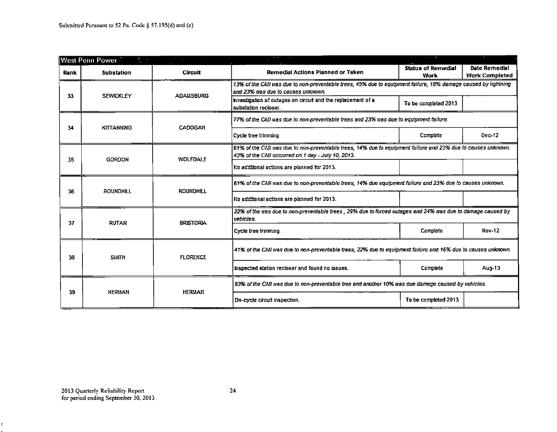|      | <b>West Penn Power</b><br>美術院 |                   | $\sim$                                                                                                                                                            | <b>Report Follows</b>             | ٠                                      |  |
|------|-------------------------------|-------------------|-------------------------------------------------------------------------------------------------------------------------------------------------------------------|-----------------------------------|----------------------------------------|--|
| Rank | <b>Substation</b>             | Circuit           | Remedial Actions Planned or Taken                                                                                                                                 | <b>Status of Remedial</b><br>Work | Date Remedial<br><b>Work Completed</b> |  |
| 33   | <b>SEWICKLEY</b>              | <b>ADALISBURG</b> | 13% of the CMI was due to non-preventable trees, 45% due to equipment failure, 18% damage caused by lightning<br>and 23% was due to causes unknown.               |                                   |                                        |  |
|      |                               |                   | Investigation of outages on circuit and the replacement of a<br>substation recloser.                                                                              | To be completed 2013              |                                        |  |
| 34   | <b>KITTANNING</b>             | <b>CADOGAN</b>    | 77% of the CMI was due to non-preventable trees and 23% was due to equipment failure.                                                                             |                                   |                                        |  |
|      |                               |                   | Cycle tree trimming.                                                                                                                                              | Complete                          | Dec-12                                 |  |
| 35   | <b>GORDON</b>                 | <b>WOLFDALE</b>   | 61% of the CMI was due to non-preventable trees, 14% due to equipment failure and 23% due to causes unknown.<br>43% of the CMI occurred on 1 day - July 10, 2013. |                                   |                                        |  |
|      |                               |                   | Ro additional actions are planned for 2013.                                                                                                                       |                                   |                                        |  |
| 36   | <b>ROUNDHILL</b>              | <b>ROUNDHILL</b>  | 61% of the CMI was due to non-preventable trees, 14% due equipment failure and 23% due to causes unknown.                                                         |                                   |                                        |  |
|      |                               |                   | No additional actions are planned for 2013.                                                                                                                       |                                   |                                        |  |
| 37   | <b>RUTAN</b>                  | <b>BRISTORIA</b>  | 22% of the was due to non-preventable trees, 29% due to forced outages and 24% was due to damage caused by<br>vehicles.                                           |                                   |                                        |  |
|      |                               |                   | Cycle tree trimming.                                                                                                                                              | Complete                          | <b>Nov-12</b>                          |  |
| 38   | <b>SMITH</b>                  | <b>FLORENCE</b>   | 41% of the CMI was due to non-preventable trees, 22% due to equipment failure and 16% due to causes unknown.                                                      |                                   |                                        |  |
|      |                               |                   | inspected station recloser and found no issues.                                                                                                                   | Complete                          | Aug-13                                 |  |
|      | <b>HERMAN</b>                 | <b>HERMAN</b>     | 83% of the CMI was due to non-preventable tree and another 10% was due damage caused by vehicles.                                                                 |                                   |                                        |  |
| 39   |                               |                   | On-cycle circuit inspection.                                                                                                                                      | To be completed 2013              |                                        |  |

 $\bar{z}$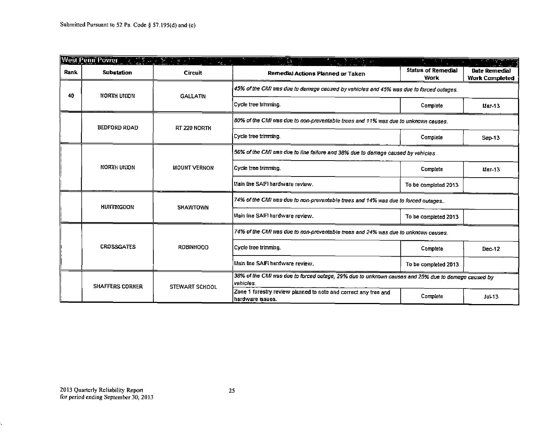|      | West Penn Power A MARINE REFERENCE | $\omega_{\rm{cr}}$  | $\mathcal{L}(\xi)$<br>$\frac{1}{2}$ , $\frac{1}{2}$                                                             |                            |                                        |  |
|------|------------------------------------|---------------------|-----------------------------------------------------------------------------------------------------------------|----------------------------|----------------------------------------|--|
| Rank | <b>Substation</b>                  | <b>Circuit</b>      | Remedial Actions Planned or Taken                                                                               | Status of Remedial<br>Work | Date Remedial<br><b>Work Completed</b> |  |
| 40   | NORTH UNION                        | <b>GALLATIN</b>     | 45% of the CMI was due to damage caused by vehicles and 45% was due to forced outages.                          |                            |                                        |  |
|      |                                    |                     | Cycle tree trimming.                                                                                            | Complete                   | $Mar-13$                               |  |
|      | <b>BEDFORD ROAD</b>                | RT 220 NORTH        | 80% of the CMI was due to non-preventable trees and 11% was due to unknown causes.                              |                            |                                        |  |
|      |                                    |                     | Cycle tree trimming.                                                                                            | Complete                   | Sep-13                                 |  |
|      |                                    |                     | 56% of the CMI was due to line failure and 38% due to damage caused by vehicles.                                |                            |                                        |  |
|      | <b>NORTH UNION</b>                 | <b>MOUNT VERNON</b> | Cycle tree trimming.                                                                                            | Complete                   | Mar-13                                 |  |
|      |                                    |                     | Main line SAIFI hardware review.                                                                                | To be completed 2013       |                                        |  |
|      | <b>HUITTIKGDON</b>                 | <b>SHAWTOWN</b>     | 74% of the CMI was due to non-preventable trees and 14% was due to forced outages                               |                            |                                        |  |
|      |                                    |                     | Main line SAIFI hardware review.                                                                                | To be completed 2013       |                                        |  |
|      |                                    |                     | 74% of the CMI was due to non-preventable trees and 24% was due to unknown causes.                              |                            |                                        |  |
|      | <b>CROSSGATES</b>                  | <b>ROBINHOOD</b>    | Cycle tree trimming.                                                                                            | Complete                   | Dec-12                                 |  |
|      |                                    |                     | Main line SAIFI hardware review.                                                                                | To be completed 2013       |                                        |  |
|      | <b>SHAFFERS CORNER</b>             | STEWART SCHOOL      | 38% of the CMI was due to forced outage, 29% due to unknown causes and 25% due to damage caused by<br>vehicles. |                            |                                        |  |
|      |                                    |                     | Zone 1 forestry review planned to note and correct any tree and<br>hardware issues.                             | Complete                   | $JU$ $+13$                             |  |

É,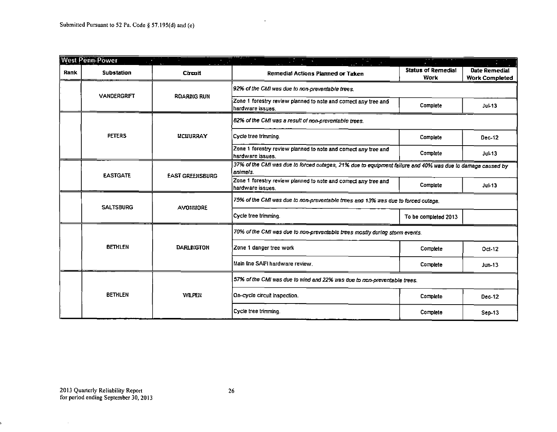|      | <b>West Penn Power</b> |                        | $\label{eq:2} \mathcal{L}(\mathcal{L}) = \mathcal{L}(\mathcal{L}) \mathcal{L}(\mathcal{L})$                            |                                   |                                        |
|------|------------------------|------------------------|------------------------------------------------------------------------------------------------------------------------|-----------------------------------|----------------------------------------|
| Rank | <b>Substation</b>      | Circuit                | Remedial Actions Planned or Taken                                                                                      | Status of Remedial<br><b>Work</b> | Date Remedial<br><b>Work Completed</b> |
|      | <b>VANDERGRIFT</b>     |                        | 92% of the CMI was due to non-preventable trees.                                                                       |                                   |                                        |
|      |                        | <b>ROARING RUN</b>     | Zone 1 forestry review planned to note and correct any tree and<br>hardware issues.                                    | Complete                          | $Ju$ -13                               |
|      |                        |                        | 82% of the CMI was a result of non-preventable trees.                                                                  |                                   |                                        |
|      | <b>PETERS</b>          | <b>UCUURRAY</b>        | Cycle tree trimming.                                                                                                   | Complete                          | Dec-12                                 |
|      |                        |                        | Zone 1 forestry review planned to note and correct any tree and<br>hardware issues.                                    | Complete                          | $Ju$ $+13$                             |
|      | <b>EASTGATE</b>        | <b>EAST GREENSBURG</b> | 37% of the CMI was due to forced outages, 21% due to equipment failure and 40% was due to damage caused by<br>enimais. |                                   |                                        |
|      |                        |                        | Zone 1 forestry review planned to note and correct any tree and<br>hardware issues.                                    | Complete                          | $Ju$ $+13$                             |
|      | <b>SALTSBURG</b>       | <b>AVOIIMORE</b>       | 75% of the CMI was due to non-preventable trees and 13% was due to forced outage.                                      |                                   |                                        |
|      |                        |                        | Cycle tree trimming.                                                                                                   | To be completed 2013              |                                        |
|      |                        |                        | 70% of the CMI was due to non-preventable trees mostly during storm events.                                            |                                   |                                        |
|      | <b>BETHLEN</b>         | <b>DARLINGTON</b>      | Zone 1 danger tree work                                                                                                | Complete                          | $Oct-12$                               |
|      |                        |                        | Main line SAIFI hardware review.                                                                                       | Complete                          | <b>Jun-13</b>                          |
|      |                        |                        | 57% of the CMI was due to wind and 22% was due to non-preventable trees.                                               |                                   |                                        |
|      | <b>BETHLEN</b>         | <b>WILFEN</b>          | On-cycle circuit inspection.                                                                                           | Complete                          | Dec-12                                 |
|      |                        |                        | Cycle tree trimming.                                                                                                   | Complete                          | Sep-13                                 |

 $\mathcal{L}^{\pm}$ 

 $\sim$ 

Ļ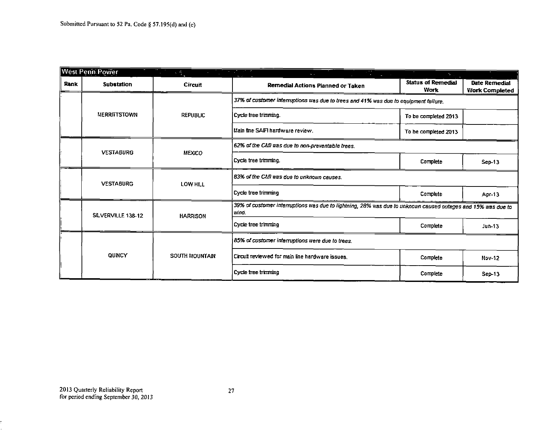|      | West Penn Power     | $\mathcal{L}_{\mathcal{L}}$ | <u> The Community of the Community of the Community of the Community of the Community of the Community of the Community of the Community of the Community of the Community of the Community of the Community of the Community of</u> | $\sigma_{\rm{eff}}$               |                                        |
|------|---------------------|-----------------------------|--------------------------------------------------------------------------------------------------------------------------------------------------------------------------------------------------------------------------------------|-----------------------------------|----------------------------------------|
| Rank | <b>Substation</b>   | Circuit                     | Remedial Actions Planned or Taken                                                                                                                                                                                                    | <b>Status of Remedial</b><br>Work | Date Remedial<br><b>Work Completed</b> |
|      |                     |                             | 37% of customer interruptions was due to trees and 41% was due to equipment failure.                                                                                                                                                 |                                   |                                        |
|      | <b>MERRITTSTOWN</b> | <b>REPUBLIC</b>             | Cycle tree trimming.                                                                                                                                                                                                                 | To be completed 2013              |                                        |
|      |                     |                             | Main fine SAIFI hardware review.                                                                                                                                                                                                     | To be completed 2013              |                                        |
|      | <b>VESTABURG</b>    | <b>MEXICO</b>               | 62% of the CMI was due to non-preventable trees.                                                                                                                                                                                     |                                   |                                        |
|      |                     |                             | Cycle tree trimming.                                                                                                                                                                                                                 | Complete                          | $Sep-13$                               |
|      | <b>VESTABURG</b>    | LOW HILL                    | 83% of the CMI was due to unknown causes.                                                                                                                                                                                            |                                   |                                        |
|      |                     |                             | Cycle tree trimming                                                                                                                                                                                                                  | Complete                          | Apr-13                                 |
|      | SILVERVILLE 138-12  | <b>HARRISON</b>             | 39% of customer interruptions was due to lightning, 28% was due to unknown caused outages and 15% was due to<br>moo.                                                                                                                 |                                   |                                        |
|      |                     |                             | Cycle tree trimming                                                                                                                                                                                                                  | Complete                          | $J$ un-13                              |
|      |                     |                             | 85% of customer interruptions were due to trees.                                                                                                                                                                                     |                                   |                                        |
|      | <b>QUINCY</b>       | <b>SOUTH MOUNTAIN</b>       | Circuit reviewed for main line hardware issues.                                                                                                                                                                                      | Complete                          | <b>Nov-12</b>                          |
|      |                     |                             | Cycle tree trimming                                                                                                                                                                                                                  | Complete                          | $Sep-13$                               |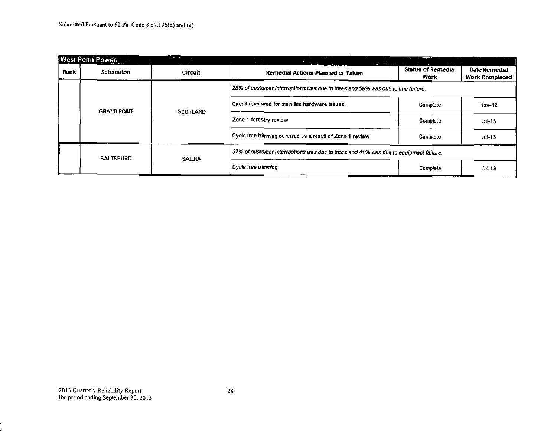|      | West Penn Power                                                                 | <b>Contract Contract</b><br><b>Contract Contract</b> | the control of the con-                                                              |                                          |                                               |
|------|---------------------------------------------------------------------------------|------------------------------------------------------|--------------------------------------------------------------------------------------|------------------------------------------|-----------------------------------------------|
| Rank | Substation                                                                      | <b>Circuit</b>                                       | Remedial Actions Planned or Taken                                                    | <b>Status of Remedial</b><br><b>Work</b> | <b>Date Remedial</b><br><b>Work Completed</b> |
|      | 28% of customer interruptions was due to trees and 56% was due to line failure. |                                                      |                                                                                      |                                          |                                               |
|      | <b>GRAND POILT</b>                                                              | <b>SCOTLAND</b>                                      | Circuit reviewed for main line hardware issues.                                      | Complete                                 | <b>Nov-12</b>                                 |
|      |                                                                                 |                                                      | Zone 1 forestry review                                                               | Complete                                 | $Jul-13$                                      |
|      |                                                                                 |                                                      | Cycle tree trimming deferred as a result of Zone 1 review.                           | Complete                                 | $Ju$ -13                                      |
|      | <b>SALTSBURG</b>                                                                | <b>SALMA</b>                                         | 37% of customer interruptions was due to trees and 41% was due to equipment failure. |                                          |                                               |
|      |                                                                                 |                                                      | Cycle tree trimming                                                                  | Complete                                 | $JU$ $+13$                                    |

E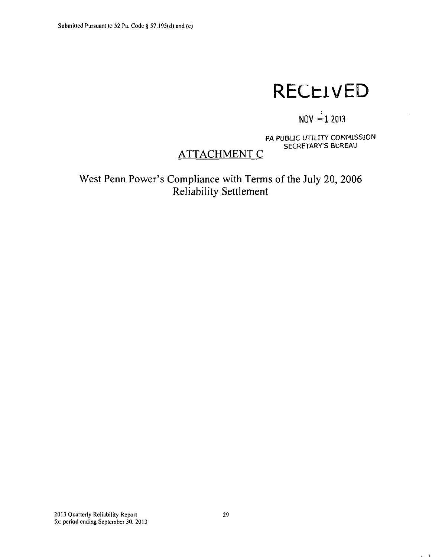# **RECEIVED**

## **NOV -<1 2013**

PA PUBLIC UTILITY COMMISSION SECRETARY'S BUREAU

 $\sim -1$ 

## **ATTACHMENT C**

**West Penn Power's Compliance with Terms of the July 20, 2006 Reliability Settlement**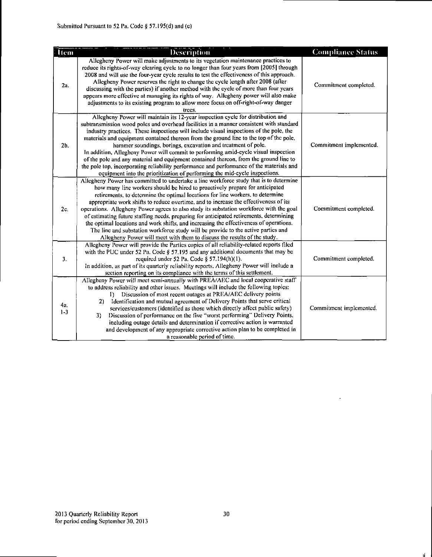| <b>Tiem</b>    | <b>Description</b>                                                                                                                                                                                                                                                                                                                                                                                                                                                                                                                                                                                                                                                                                                                                                                                | <b>Compliance Status</b> |
|----------------|---------------------------------------------------------------------------------------------------------------------------------------------------------------------------------------------------------------------------------------------------------------------------------------------------------------------------------------------------------------------------------------------------------------------------------------------------------------------------------------------------------------------------------------------------------------------------------------------------------------------------------------------------------------------------------------------------------------------------------------------------------------------------------------------------|--------------------------|
| 2а.            | Allegheny Power will make adjustments to its vegetation maintenance practices to<br>reduce its rights-of-way clearing cycle to no longer than four years from [2005] through<br>2008 and will use the four-year cycle results to test the effectiveness of this approach.<br>Allegheny Power reserves the right to change the cycle length after 2008 (after<br>discussing with the parties) if another method with the cycle of more than four years<br>appears more effective at managing its rights of way. Allegheny power will also make<br>adjustments to its existing program to allow more focus on off-right-of-way danger<br>trees.                                                                                                                                                     | Commitment completed.    |
| 2 <sub>b</sub> | Allegheny Power will maintain its 12-year inspection cycle for distribution and<br>subtransmission wood poles and overhead facilities in a manner consistent with standard<br>industry practices. These inspections will include visual inspections of the pole, the<br>materials and equipment contained thereon from the ground line to the top of the pole,<br>hammer soundings, borings, excavation and treatment of pole.<br>In addition, Allegheny Power will commit to performing amid-cycle visual inspection<br>of the pole and any material and equipment contained thereon, from the ground line to<br>the pole top, incorporating reliability performance and performance of the materials and<br>equipment into the prioritization of performing the mid-cycle inspections.          | Commitment implemented.  |
| 2c.            | Allegheny Power has committed to undertake a line workforce study that is to determine<br>how many line workers should be hired to proactively prepare for anticipated<br>retirements, to determine the optimal locations for line workers, to determine<br>appropriate work shifts to reduce overtime, and to increase the effectiveness of its<br>operations. Allegheny Power agrees to also study its substation workforce with the goal<br>of estimating future staffing needs, preparing for anticipated retirements, determining<br>the optimal locations and work shifts, and increasing the effectiveness of operations.<br>The line and substation workforce study will be provide to the active parties and<br>Allegheny Power will meet with them to discuss the results of the study. | Commitment completed.    |
| 3.             | Allegheny Power will provide the Parties copies of all reliability-related reports filed<br>with the PUC under 52 Pa. Code § 57.195 and any additional documents that may be<br>required under 52 Pa. Code § 57.194(h)(1).<br>In addition, as part of its quarterly reliability reports. Allegheny Power will include a<br>section reporting on its compliance with the terms of this settlement.                                                                                                                                                                                                                                                                                                                                                                                                 | Commitment completed.    |
| 4a.<br>$1 - 3$ | Allegheny Power will meet semi-annually with PREA/AEC and local cooperative staff<br>to address reliability and other issues. Meetings will include the following topics:<br>Discussion of most recent outages at PREA/AEC delivery points<br>D.<br>Identification and mutual agreement of Delivery Points that serve critical<br>2)<br>services/customers (identified as those which directly affect public safety)<br>Discussion of performance on the five "worst performing" Delivery Points,<br>3)<br>including outage details and determination if corrective action is warranted<br>and development of any appropriate corrective action plan to be completed in<br>a reasonable period of time.                                                                                           | Commitment implemented.  |

 $\Box$ 

 $\mathbf{d}$